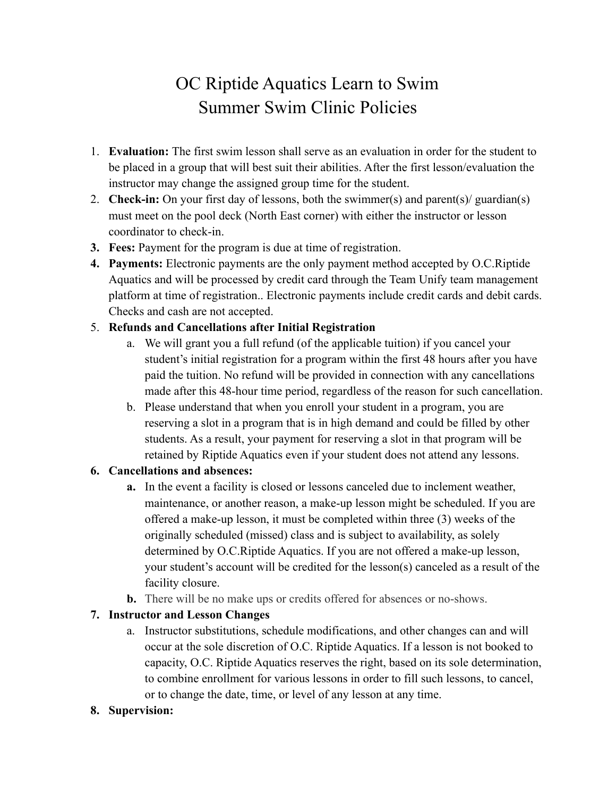# OC Riptide Aquatics Learn to Swim Summer Swim Clinic Policies

- 1. **Evaluation:** The first swim lesson shall serve as an evaluation in order for the student to be placed in a group that will best suit their abilities. After the first lesson/evaluation the instructor may change the assigned group time for the student.
- 2. **Check-in:** On your first day of lessons, both the swimmer(s) and parent(s)/ guardian(s) must meet on the pool deck (North East corner) with either the instructor or lesson coordinator to check-in.
- **3. Fees:** Payment for the program is due at time of registration.
- **4. Payments:** Electronic payments are the only payment method accepted by O.C.Riptide Aquatics and will be processed by credit card through the Team Unify team management platform at time of registration.. Electronic payments include credit cards and debit cards. Checks and cash are not accepted.

#### 5. **Refunds and Cancellations after Initial Registration**

- a. We will grant you a full refund (of the applicable tuition) if you cancel your student's initial registration for a program within the first 48 hours after you have paid the tuition. No refund will be provided in connection with any cancellations made after this 48-hour time period, regardless of the reason for such cancellation.
- b. Please understand that when you enroll your student in a program, you are reserving a slot in a program that is in high demand and could be filled by other students. As a result, your payment for reserving a slot in that program will be retained by Riptide Aquatics even if your student does not attend any lessons.

## **6. Cancellations and absences:**

- **a.** In the event a facility is closed or lessons canceled due to inclement weather, maintenance, or another reason, a make-up lesson might be scheduled. If you are offered a make-up lesson, it must be completed within three (3) weeks of the originally scheduled (missed) class and is subject to availability, as solely determined by O.C.Riptide Aquatics. If you are not offered a make-up lesson, your student's account will be credited for the lesson(s) canceled as a result of the facility closure.
- **b.** There will be no make ups or credits offered for absences or no-shows.

## **7. Instructor and Lesson Changes**

a. Instructor substitutions, schedule modifications, and other changes can and will occur at the sole discretion of O.C. Riptide Aquatics. If a lesson is not booked to capacity, O.C. Riptide Aquatics reserves the right, based on its sole determination, to combine enrollment for various lessons in order to fill such lessons, to cancel, or to change the date, time, or level of any lesson at any time.

#### **8. Supervision:**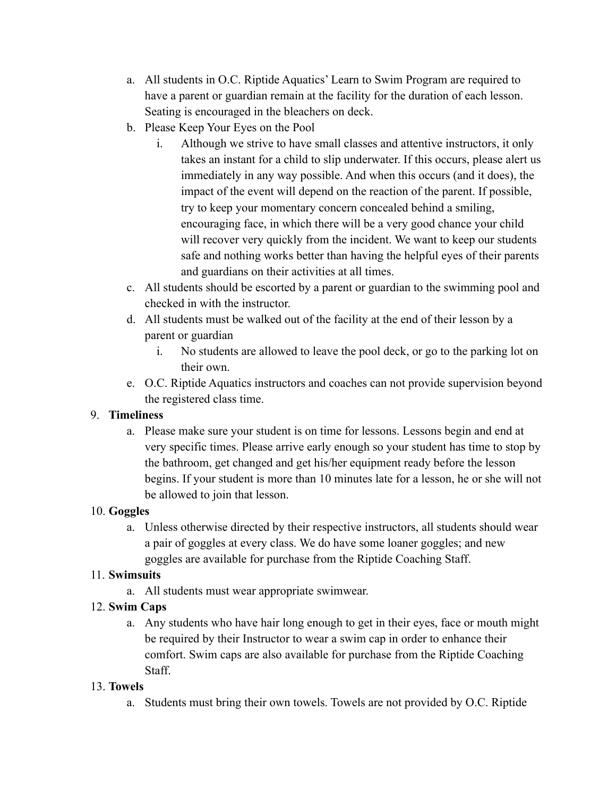- a. All students in O.C. Riptide Aquatics' Learn to Swim Program are required to have a parent or guardian remain at the facility for the duration of each lesson. Seating is encouraged in the bleachers on deck.
- b. Please Keep Your Eyes on the Pool
	- i. Although we strive to have small classes and attentive instructors, it only takes an instant for a child to slip underwater. If this occurs, please alert us immediately in any way possible. And when this occurs (and it does), the impact of the event will depend on the reaction of the parent. If possible, try to keep your momentary concern concealed behind a smiling, encouraging face, in which there will be a very good chance your child will recover very quickly from the incident. We want to keep our students safe and nothing works better than having the helpful eyes of their parents and guardians on their activities at all times.
- c. All students should be escorted by a parent or guardian to the swimming pool and checked in with the instructor.
- d. All students must be walked out of the facility at the end of their lesson by a parent or guardian
	- i. No students are allowed to leave the pool deck, or go to the parking lot on their own.
- e. O.C. Riptide Aquatics instructors and coaches can not provide supervision beyond the registered class time.

## 9. **Timeliness**

a. Please make sure your student is on time for lessons. Lessons begin and end at very specific times. Please arrive early enough so your student has time to stop by the bathroom, get changed and get his/her equipment ready before the lesson begins. If your student is more than 10 minutes late for a lesson, he or she will not be allowed to join that lesson.

# 10. **Goggles**

a. Unless otherwise directed by their respective instructors, all students should wear a pair of goggles at every class. We do have some loaner goggles; and new goggles are available for purchase from the Riptide Coaching Staff.

# 11. **Swimsuits**

a. All students must wear appropriate swimwear.

# 12. **Swim Caps**

a. Any students who have hair long enough to get in their eyes, face or mouth might be required by their Instructor to wear a swim cap in order to enhance their comfort. Swim caps are also available for purchase from the Riptide Coaching Staff.

# 13. **Towels**

a. Students must bring their own towels. Towels are not provided by O.C. Riptide